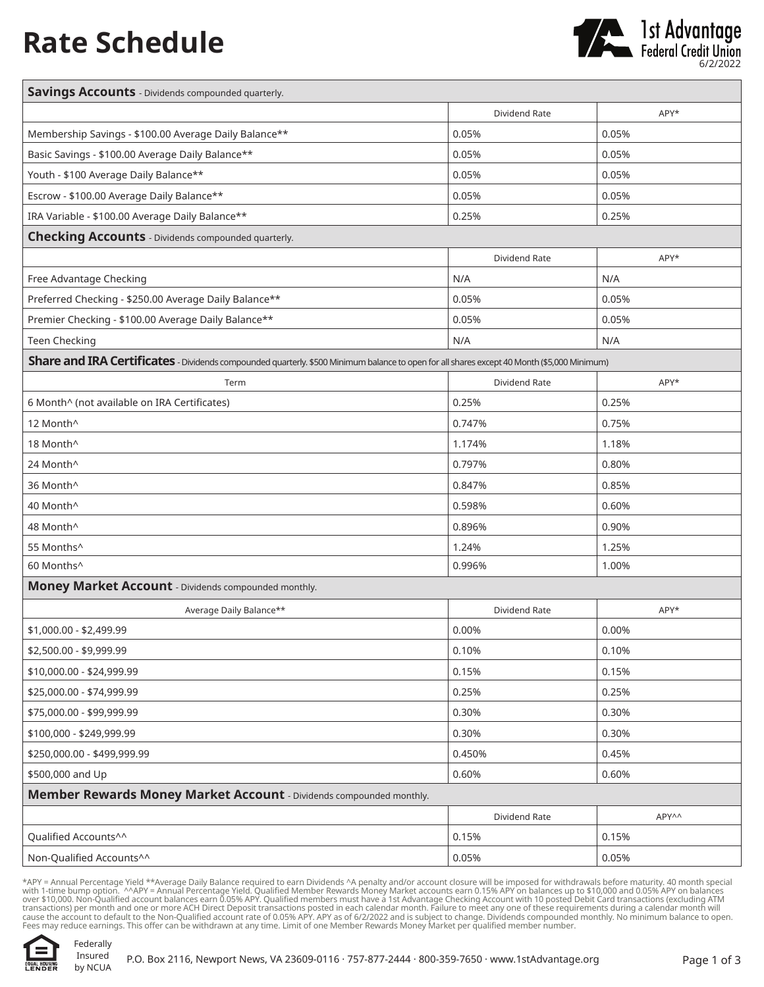## **Rate Schedule**



| <b>Savings Accounts</b> - Dividends compounded quarterly.                                                                                   |               |       |  |
|---------------------------------------------------------------------------------------------------------------------------------------------|---------------|-------|--|
|                                                                                                                                             | Dividend Rate | APY*  |  |
| Membership Savings - \$100.00 Average Daily Balance**                                                                                       | 0.05%         | 0.05% |  |
| Basic Savings - \$100.00 Average Daily Balance**                                                                                            | 0.05%         | 0.05% |  |
| Youth - \$100 Average Daily Balance**                                                                                                       | 0.05%         | 0.05% |  |
| Escrow - \$100.00 Average Daily Balance**                                                                                                   | 0.05%         | 0.05% |  |
| IRA Variable - \$100.00 Average Daily Balance**                                                                                             | 0.25%         | 0.25% |  |
| <b>Checking Accounts</b> - Dividends compounded quarterly.                                                                                  |               |       |  |
|                                                                                                                                             | Dividend Rate | APY*  |  |
| Free Advantage Checking                                                                                                                     | N/A           | N/A   |  |
| Preferred Checking - \$250.00 Average Daily Balance**                                                                                       | 0.05%         | 0.05% |  |
| Premier Checking - \$100.00 Average Daily Balance**                                                                                         | 0.05%         | 0.05% |  |
| <b>Teen Checking</b>                                                                                                                        | N/A           | N/A   |  |
| Share and IRA Certificates - Dividends compounded quarterly. \$500 Minimum balance to open for all shares except 40 Month (\$5,000 Minimum) |               |       |  |
| Term                                                                                                                                        | Dividend Rate | APY*  |  |
| 6 Month^ (not available on IRA Certificates)                                                                                                | 0.25%         | 0.25% |  |
| 12 Month^                                                                                                                                   | 0.747%        | 0.75% |  |
| 18 Month^                                                                                                                                   | 1.174%        | 1.18% |  |
| 24 Month^                                                                                                                                   | 0.797%        | 0.80% |  |
| 36 Month^                                                                                                                                   | 0.847%        | 0.85% |  |
| 40 Month^                                                                                                                                   | 0.598%        | 0.60% |  |
| 48 Month^                                                                                                                                   | 0.896%        | 0.90% |  |
| 55 Months^                                                                                                                                  | 1.24%         | 1.25% |  |
| 60 Months^                                                                                                                                  | 0.996%        | 1.00% |  |
| Money Market Account - Dividends compounded monthly.                                                                                        |               |       |  |
| Average Daily Balance**                                                                                                                     | Dividend Rate | APY*  |  |
| \$1,000.00 - \$2,499.99                                                                                                                     | 0.00%         | 0.00% |  |
| \$2,500.00 - \$9,999.99                                                                                                                     | 0.10%         | 0.10% |  |
| \$10,000.00 - \$24,999.99                                                                                                                   | 0.15%         | 0.15% |  |
| \$25,000.00 - \$74,999.99                                                                                                                   | 0.25%         | 0.25% |  |
| \$75,000.00 - \$99,999.99                                                                                                                   | 0.30%         | 0.30% |  |
| \$100,000 - \$249,999.99                                                                                                                    | 0.30%         | 0.30% |  |
| \$250,000.00 - \$499,999.99                                                                                                                 | 0.450%        | 0.45% |  |
| \$500,000 and Up                                                                                                                            | 0.60%         | 0.60% |  |
| Member Rewards Money Market Account - Dividends compounded monthly.                                                                         |               |       |  |
|                                                                                                                                             | Dividend Rate | APY^^ |  |
| Qualified Accounts^^                                                                                                                        | 0.15%         | 0.15% |  |
| Non-Qualified Accounts^^                                                                                                                    | 0.05%         | 0.05% |  |

\*APY = Annual Percentage Yield \*\*Average Daily Balance required to earn Dividends ^A penalty and/or account closure will be imposed for withdrawals before maturity. 40 month special<br>with 1-time bump option. ^^APY = Annual Fees may reduce earnings. This offer can be withdrawn at any time. Limit of one Member Rewards Money Market per qualified member number.

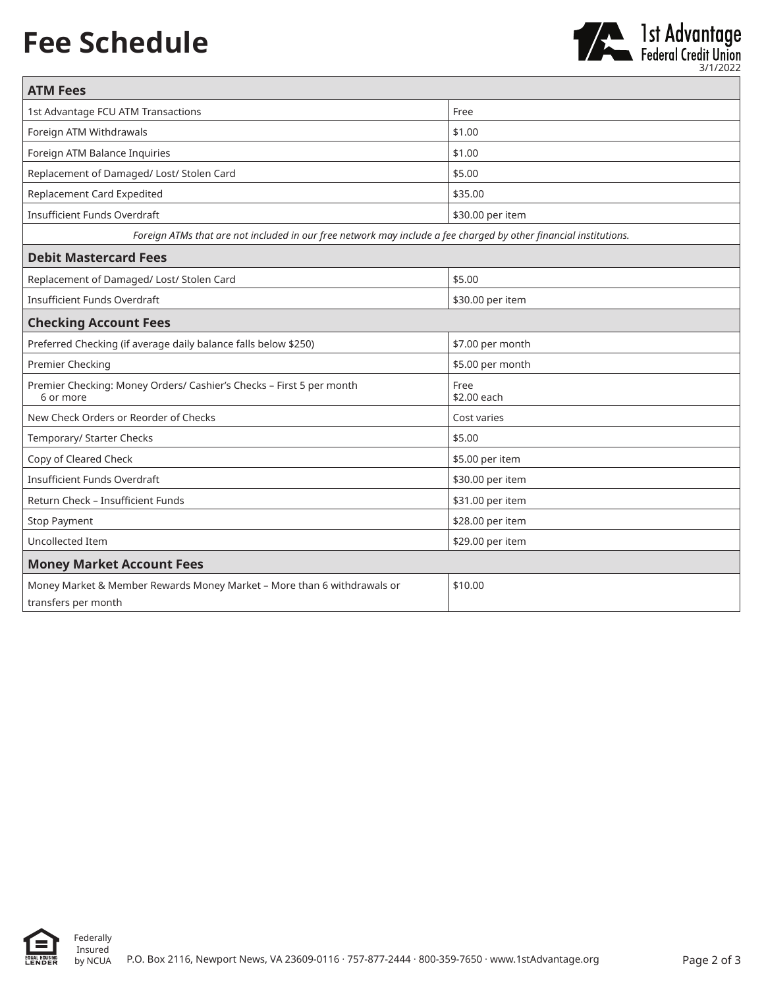## **Fee Schedule**



| <b>ATM Fees</b>                                                                                                   |                     |  |
|-------------------------------------------------------------------------------------------------------------------|---------------------|--|
| 1st Advantage FCU ATM Transactions                                                                                | Free                |  |
| Foreign ATM Withdrawals                                                                                           | \$1.00              |  |
| Foreign ATM Balance Inquiries                                                                                     | \$1.00              |  |
| Replacement of Damaged/ Lost/ Stolen Card                                                                         | \$5.00              |  |
| Replacement Card Expedited                                                                                        | \$35.00             |  |
| <b>Insufficient Funds Overdraft</b>                                                                               | \$30.00 per item    |  |
| Foreign ATMs that are not included in our free network may include a fee charged by other financial institutions. |                     |  |
| <b>Debit Mastercard Fees</b>                                                                                      |                     |  |
| Replacement of Damaged/ Lost/ Stolen Card                                                                         | \$5.00              |  |
| <b>Insufficient Funds Overdraft</b>                                                                               | \$30.00 per item    |  |
| <b>Checking Account Fees</b>                                                                                      |                     |  |
| Preferred Checking (if average daily balance falls below \$250)                                                   | \$7.00 per month    |  |
| Premier Checking                                                                                                  | \$5.00 per month    |  |
| Premier Checking: Money Orders/ Cashier's Checks - First 5 per month<br>6 or more                                 | Free<br>\$2.00 each |  |
| New Check Orders or Reorder of Checks                                                                             | Cost varies         |  |
| Temporary/ Starter Checks                                                                                         | \$5.00              |  |
| Copy of Cleared Check                                                                                             | \$5.00 per item     |  |
| <b>Insufficient Funds Overdraft</b>                                                                               | \$30.00 per item    |  |
| Return Check - Insufficient Funds                                                                                 | \$31.00 per item    |  |
| <b>Stop Payment</b>                                                                                               | \$28.00 per item    |  |
| Uncollected Item                                                                                                  | \$29.00 per item    |  |
| <b>Money Market Account Fees</b>                                                                                  |                     |  |
| Money Market & Member Rewards Money Market - More than 6 withdrawals or<br>transfers per month                    | \$10.00             |  |



Federally